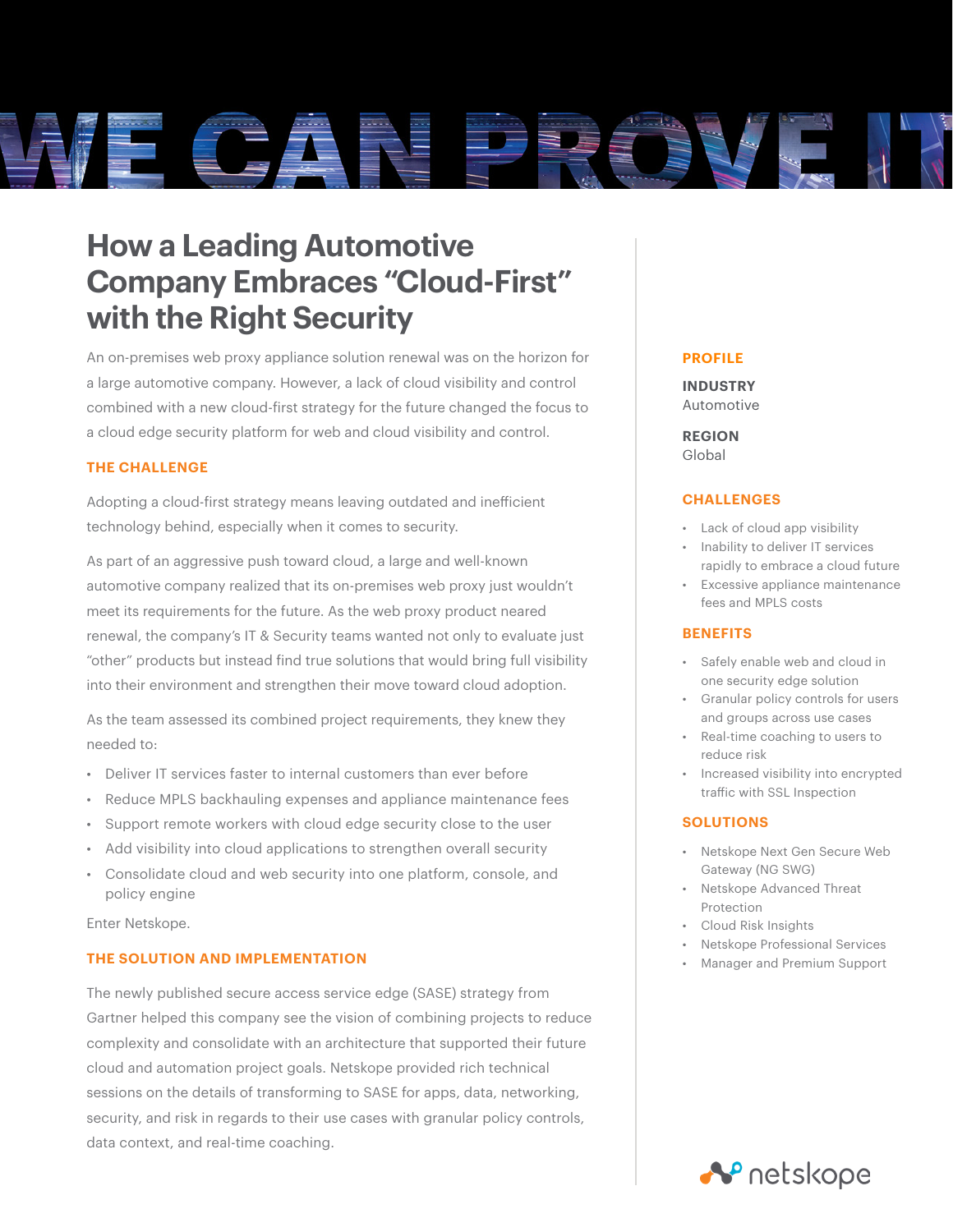

# **How a Leading Automotive Company Embraces "Cloud-First" with the Right Security**

An on-premises web proxy appliance solution renewal was on the horizon for a large automotive company. However, a lack of cloud visibility and control combined with a new cloud-first strategy for the future changed the focus to a cloud edge security platform for web and cloud visibility and control.

# **THE CHALLENGE**

Adopting a cloud-first strategy means leaving outdated and inefficient technology behind, especially when it comes to security.

As part of an aggressive push toward cloud, a large and well-known automotive company realized that its on-premises web proxy just wouldn't meet its requirements for the future. As the web proxy product neared renewal, the company's IT & Security teams wanted not only to evaluate just "other" products but instead find true solutions that would bring full visibility into their environment and strengthen their move toward cloud adoption.

As the team assessed its combined project requirements, they knew they needed to:

- Deliver IT services faster to internal customers than ever before
- Reduce MPLS backhauling expenses and appliance maintenance fees
- Support remote workers with cloud edge security close to the user
- Add visibility into cloud applications to strengthen overall security
- Consolidate cloud and web security into one platform, console, and policy engine

Enter Netskope.

# **THE SOLUTION AND IMPLEMENTATION**

The newly published secure access service edge (SASE) strategy from Gartner helped this company see the vision of combining projects to reduce complexity and consolidate with an architecture that supported their future cloud and automation project goals. Netskope provided rich technical sessions on the details of transforming to SASE for apps, data, networking, security, and risk in regards to their use cases with granular policy controls, data context, and real-time coaching.

### **PROFILE**

## **INDUSTRY** Automotive

**REGION** Global

#### **CHALLENGES**

- Lack of cloud app visibility
- Inability to deliver IT services rapidly to embrace a cloud future
- Excessive appliance maintenance fees and MPLS costs

### **BENEFITS**

- Safely enable web and cloud in one security edge solution
- Granular policy controls for users and groups across use cases
- Real-time coaching to users to reduce risk
- Increased visibility into encrypted traffic with SSL Inspection

#### **SOLUTIONS**

- Netskope Next Gen Secure Web Gateway (NG SWG)
- Netskope Advanced Threat Protection
- Cloud Risk Insights
- Netskope Professional Services
- Manager and Premium Support